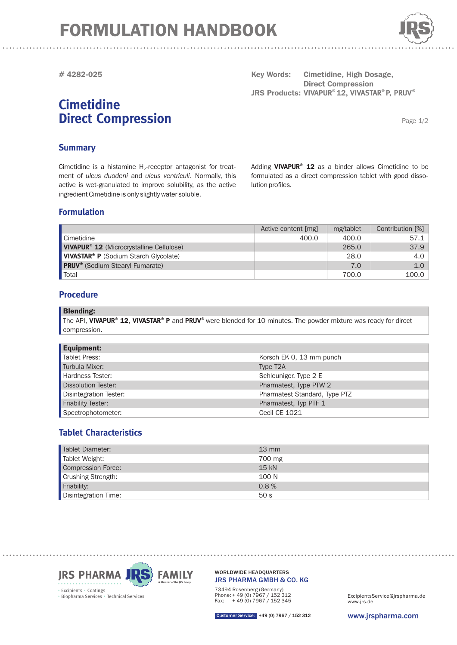# FORMULATION HANDBOOK



**# 4282-025**

# **Cimetidine Direct Compression**

**Key Words: Cimetidine, High Dosage,**  $JRS$  Products: VIVAPUR<sup>®</sup> 12, VIVASTAR<sup>®</sup> P, PRUV<sup>®</sup> **Direct Compression**

Page 1/2

### **Summary**

Cimetidine is a histamine  $H_2$ -receptor antagonist for treatment of ulcus duodeni and ulcus ventriculi. Normally, this active is wet-granulated to improve solubility, as the active ingredient Cimetidine is only slightly water soluble.

Adding **VIVAPUR<sup>®</sup> 12** as a binder allows Cimetidine to be formulated as a direct compression tablet with good dissolution profiles.

### **Formulation**

|                                                            | Active content [mg] | mg/tablet | Contribution [%] |
|------------------------------------------------------------|---------------------|-----------|------------------|
| Cimetidine                                                 | 400.0               | 400.0     | 57.1             |
| <b>VIVAPUR<sup>®</sup> 12</b> (Microcrystalline Cellulose) |                     | 265.0     | 37.9             |
| VIVASTAR <sup>®</sup> P (Sodium Starch Glycolate)          |                     | 28.0      | 4.0              |
| <b>PRUV</b> <sup>®</sup> (Sodium Stearyl Fumarate)         |                     | 7.0       | 1.0              |
| Total                                                      |                     | 700.0     | 100.0            |

### **Procedure**

#### Blending:

The API, VIVAPUR<sup>®</sup> 12, VIVASTAR<sup>®</sup> P and PRUV<sup>®</sup> were blended for 10 minutes. The powder mixture was ready for direct compression.

| Equipment:                 |                               |
|----------------------------|-------------------------------|
| <b>Tablet Press:</b>       | Korsch EK 0, 13 mm punch      |
| Turbula Mixer:             | Type T <sub>2</sub> A         |
| Hardness Tester:           | Schleuniger, Type 2 E         |
| <b>Dissolution Tester:</b> | Pharmatest, Type PTW 2        |
| Disintegration Tester:     | Pharmatest Standard, Type PTZ |
| Friability Tester:         | Pharmatest, Typ PTF 1         |
| Spectrophotometer:         | <b>Cecil CE 1021</b>          |

## **Tablet Characteristics**

| Tablet Diameter:     | $13 \text{ mm}$ |
|----------------------|-----------------|
| Tablet Weight:       | 700 mg          |
| Compression Force:   | $15 \text{ kN}$ |
| Crushing Strength:   | 100 N           |
| Friability:          | 0.8%            |
| Disintegration Time: | 50 <sub>s</sub> |



#### JRS PHARMA GMBH & CO. KG WORLDWIDE HEADQUARTERS

73494 Rosenberg (Germany) Phone: + 49 (0) 7967 / 152 312 Fax: + 49 (0) 7967 / 152 345

www.jrs.de ExcipientsService@jrspharma.de

Customer Service: +49 (0) 7967 / 152 312

www.jrspharma.com